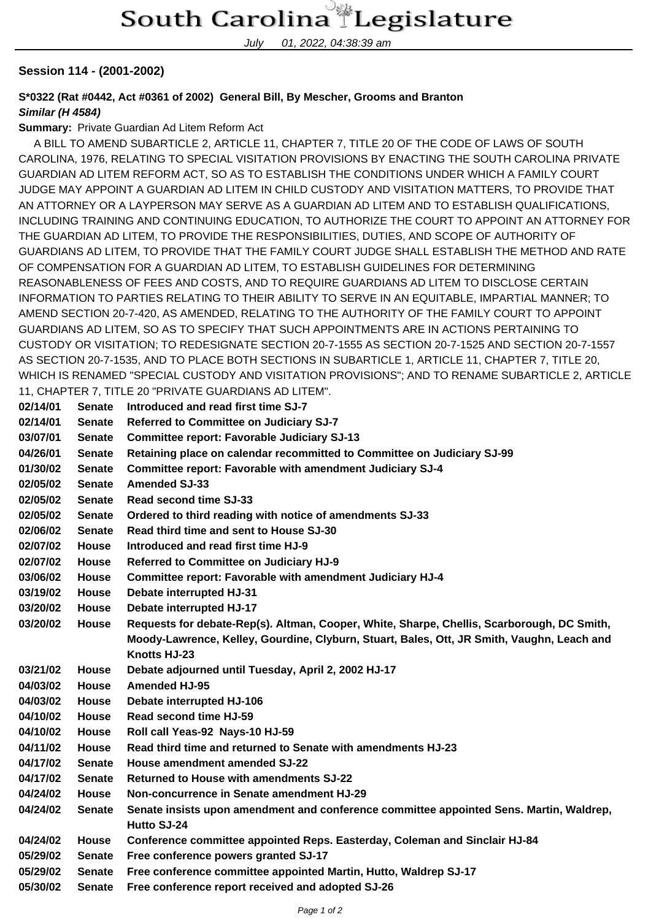July 01, 2022, 04:38:39 am

## **Session 114 - (2001-2002)**

**S\*0322 (Rat #0442, Act #0361 of 2002) General Bill, By Mescher, Grooms and Branton Similar (H 4584)**

**Summary:** Private Guardian Ad Litem Reform Act

 A BILL TO AMEND SUBARTICLE 2, ARTICLE 11, CHAPTER 7, TITLE 20 OF THE CODE OF LAWS OF SOUTH CAROLINA, 1976, RELATING TO SPECIAL VISITATION PROVISIONS BY ENACTING THE SOUTH CAROLINA PRIVATE GUARDIAN AD LITEM REFORM ACT, SO AS TO ESTABLISH THE CONDITIONS UNDER WHICH A FAMILY COURT JUDGE MAY APPOINT A GUARDIAN AD LITEM IN CHILD CUSTODY AND VISITATION MATTERS, TO PROVIDE THAT AN ATTORNEY OR A LAYPERSON MAY SERVE AS A GUARDIAN AD LITEM AND TO ESTABLISH QUALIFICATIONS, INCLUDING TRAINING AND CONTINUING EDUCATION, TO AUTHORIZE THE COURT TO APPOINT AN ATTORNEY FOR THE GUARDIAN AD LITEM, TO PROVIDE THE RESPONSIBILITIES, DUTIES, AND SCOPE OF AUTHORITY OF GUARDIANS AD LITEM, TO PROVIDE THAT THE FAMILY COURT JUDGE SHALL ESTABLISH THE METHOD AND RATE OF COMPENSATION FOR A GUARDIAN AD LITEM, TO ESTABLISH GUIDELINES FOR DETERMINING REASONABLENESS OF FEES AND COSTS, AND TO REQUIRE GUARDIANS AD LITEM TO DISCLOSE CERTAIN INFORMATION TO PARTIES RELATING TO THEIR ABILITY TO SERVE IN AN EQUITABLE, IMPARTIAL MANNER; TO AMEND SECTION 20-7-420, AS AMENDED, RELATING TO THE AUTHORITY OF THE FAMILY COURT TO APPOINT GUARDIANS AD LITEM, SO AS TO SPECIFY THAT SUCH APPOINTMENTS ARE IN ACTIONS PERTAINING TO CUSTODY OR VISITATION; TO REDESIGNATE SECTION 20-7-1555 AS SECTION 20-7-1525 AND SECTION 20-7-1557 AS SECTION 20-7-1535, AND TO PLACE BOTH SECTIONS IN SUBARTICLE 1, ARTICLE 11, CHAPTER 7, TITLE 20, WHICH IS RENAMED "SPECIAL CUSTODY AND VISITATION PROVISIONS"; AND TO RENAME SUBARTICLE 2, ARTICLE 11, CHAPTER 7, TITLE 20 "PRIVATE GUARDIANS AD LITEM".

| 02/14/01 | <b>Senate</b>                  | Introduced and read first time SJ-7                                                                                   |  |  |
|----------|--------------------------------|-----------------------------------------------------------------------------------------------------------------------|--|--|
| 02/14/01 | <b>Senate</b>                  | <b>Referred to Committee on Judiciary SJ-7</b>                                                                        |  |  |
| 03/07/01 | <b>Senate</b>                  | <b>Committee report: Favorable Judiciary SJ-13</b>                                                                    |  |  |
| 04/26/01 | <b>Senate</b>                  | Retaining place on calendar recommitted to Committee on Judiciary SJ-99                                               |  |  |
| 01/30/02 | <b>Senate</b>                  | <b>Committee report: Favorable with amendment Judiciary SJ-4</b>                                                      |  |  |
| 02/05/02 | <b>Senate</b>                  | <b>Amended SJ-33</b>                                                                                                  |  |  |
| 02/05/02 | <b>Senate</b>                  | Read second time SJ-33                                                                                                |  |  |
| 02/05/02 | <b>Senate</b>                  | Ordered to third reading with notice of amendments SJ-33                                                              |  |  |
| 02/06/02 | <b>Senate</b>                  | Read third time and sent to House SJ-30                                                                               |  |  |
| 02/07/02 | <b>House</b>                   | Introduced and read first time HJ-9                                                                                   |  |  |
| 02/07/02 | <b>House</b>                   | Referred to Committee on Judiciary HJ-9                                                                               |  |  |
| 03/06/02 | <b>House</b>                   | Committee report: Favorable with amendment Judiciary HJ-4                                                             |  |  |
| 03/19/02 | <b>House</b>                   | Debate interrupted HJ-31                                                                                              |  |  |
| 03/20/02 | <b>House</b>                   | Debate interrupted HJ-17                                                                                              |  |  |
| 03/20/02 | <b>House</b>                   | Requests for debate-Rep(s). Altman, Cooper, White, Sharpe, Chellis, Scarborough, DC Smith,                            |  |  |
|          |                                | Moody-Lawrence, Kelley, Gourdine, Clyburn, Stuart, Bales, Ott, JR Smith, Vaughn, Leach and                            |  |  |
|          |                                | Knotts HJ-23                                                                                                          |  |  |
| 03/21/02 | <b>House</b>                   | Debate adjourned until Tuesday, April 2, 2002 HJ-17                                                                   |  |  |
| 04/03/02 | <b>House</b>                   | <b>Amended HJ-95</b>                                                                                                  |  |  |
| 04/03/02 | <b>House</b>                   | Debate interrupted HJ-106                                                                                             |  |  |
| 04/10/02 | <b>House</b>                   | Read second time HJ-59                                                                                                |  |  |
| 04/10/02 | House                          | Roll call Yeas-92 Nays-10 HJ-59                                                                                       |  |  |
| 04/11/02 | <b>House</b>                   | Read third time and returned to Senate with amendments HJ-23                                                          |  |  |
| 04/17/02 | <b>Senate</b>                  | House amendment amended SJ-22                                                                                         |  |  |
| 04/17/02 | <b>Senate</b>                  | <b>Returned to House with amendments SJ-22</b>                                                                        |  |  |
| 04/24/02 | <b>House</b>                   | Non-concurrence in Senate amendment HJ-29                                                                             |  |  |
| 04/24/02 | <b>Senate</b>                  | Senate insists upon amendment and conference committee appointed Sens. Martin, Waldrep,<br>Hutto SJ-24                |  |  |
|          |                                |                                                                                                                       |  |  |
| 04/24/02 | House                          | Conference committee appointed Reps. Easterday, Coleman and Sinclair HJ-84                                            |  |  |
| 05/29/02 | <b>Senate</b>                  | Free conference powers granted SJ-17                                                                                  |  |  |
| 05/29/02 |                                |                                                                                                                       |  |  |
| 05/30/02 | <b>Senate</b><br><b>Senate</b> | Free conference committee appointed Martin, Hutto, Waldrep SJ-17<br>Free conference report received and adopted SJ-26 |  |  |